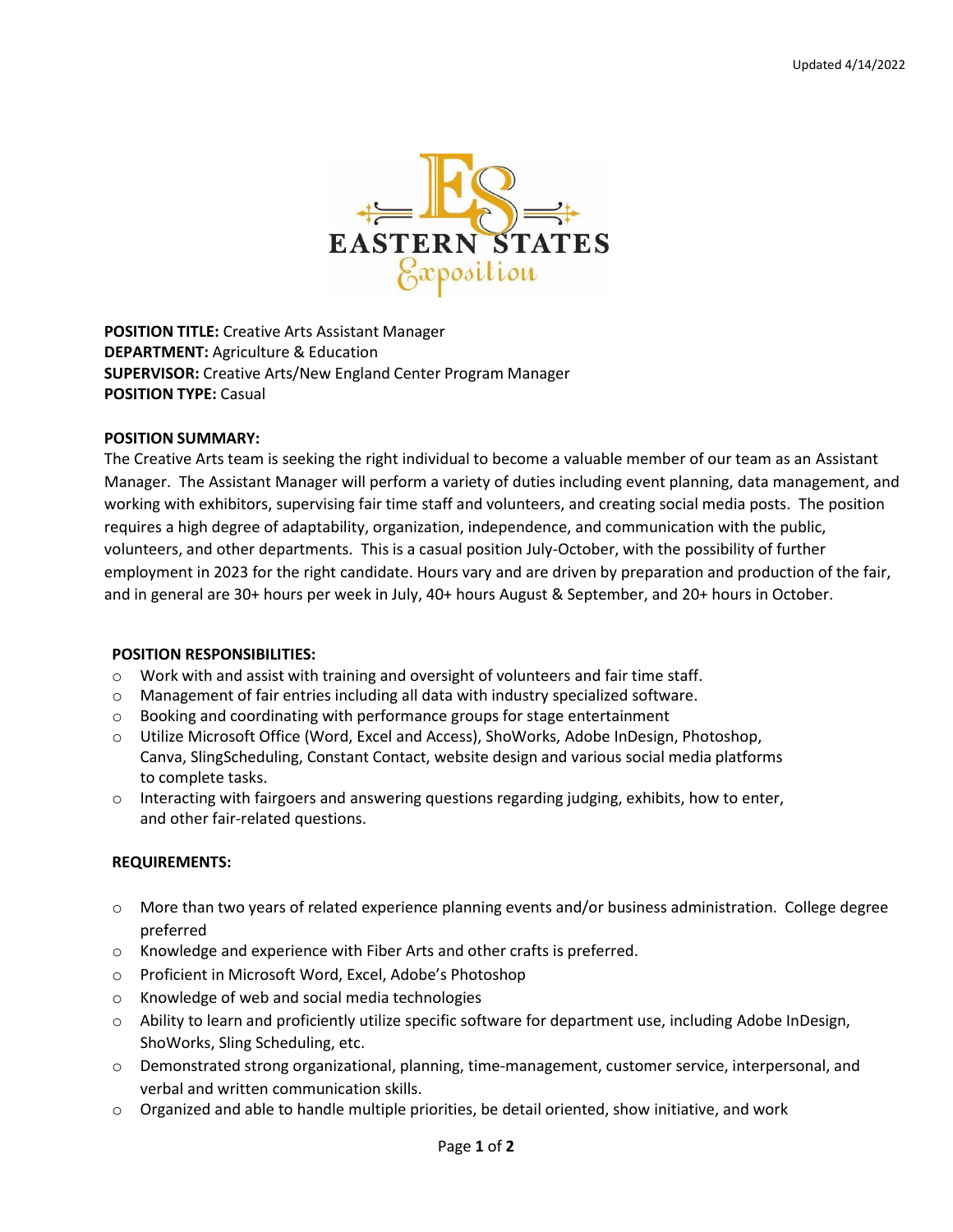

**POSITION TITLE:** Creative Arts Assistant Manager **DEPARTMENT:** Agriculture & Education **SUPERVISOR:** Creative Arts/New England Center Program Manager **POSITION TYPE:** Casual

## **POSITION SUMMARY:**

The Creative Arts team is seeking the right individual to become a valuable member of our team as an Assistant Manager. The Assistant Manager will perform a variety of duties including event planning, data management, and working with exhibitors, supervising fair time staff and volunteers, and creating social media posts. The position requires a high degree of adaptability, organization, independence, and communication with the public, volunteers, and other departments. This is a casual position July-October, with the possibility of further employment in 2023 for the right candidate. Hours vary and are driven by preparation and production of the fair, and in general are 30+ hours per week in July, 40+ hours August & September, and 20+ hours in October.

## **POSITION RESPONSIBILITIES:**

- $\circ$  Work with and assist with training and oversight of volunteers and fair time staff.
- o Management of fair entries including all data with industry specialized software.
- $\circ$  Booking and coordinating with performance groups for stage entertainment
- o Utilize Microsoft Office (Word, Excel and Access), ShoWorks, Adobe InDesign, Photoshop, Canva, SlingScheduling, Constant Contact, website design and various social media platforms to complete tasks.
- $\circ$  Interacting with fairgoers and answering questions regarding judging, exhibits, how to enter, and other fair-related questions.

## **REQUIREMENTS:**

- o More than two years of related experience planning events and/or business administration. College degree preferred
- o Knowledge and experience with Fiber Arts and other crafts is preferred.
- o Proficient in Microsoft Word, Excel, Adobe's Photoshop
- o Knowledge of web and social media technologies
- $\circ$  Ability to learn and proficiently utilize specific software for department use, including Adobe InDesign, ShoWorks, Sling Scheduling, etc.
- o Demonstrated strong organizational, planning, time-management, customer service, interpersonal, and verbal and written communication skills.
- $\circ$  Organized and able to handle multiple priorities, be detail oriented, show initiative, and work